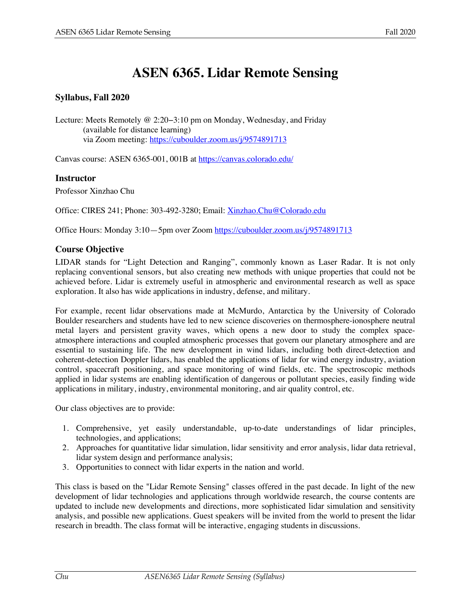# **ASEN 6365. Lidar Remote Sensing**

#### **Syllabus, Fall 2020**

Lecture: Meets Remotely @ 2:20−3:10 pm on Monday, Wednesday, and Friday (available for distance learning) via Zoom meeting: https://cuboulder.zoom.us/j/9574891713

Canvas course: ASEN 6365-001, 001B at https://canvas.colorado.edu/

#### **Instructor**

Professor Xinzhao Chu

Office: CIRES 241; Phone: 303-492-3280; Email: Xinzhao.Chu@Colorado.edu

Office Hours: Monday 3:10—5pm over Zoom https://cuboulder.zoom.us/j/9574891713

#### **Course Objective**

LIDAR stands for "Light Detection and Ranging", commonly known as Laser Radar. It is not only replacing conventional sensors, but also creating new methods with unique properties that could not be achieved before. Lidar is extremely useful in atmospheric and environmental research as well as space exploration. It also has wide applications in industry, defense, and military.

For example, recent lidar observations made at McMurdo, Antarctica by the University of Colorado Boulder researchers and students have led to new science discoveries on thermosphere-ionosphere neutral metal layers and persistent gravity waves, which opens a new door to study the complex spaceatmosphere interactions and coupled atmospheric processes that govern our planetary atmosphere and are essential to sustaining life. The new development in wind lidars, including both direct-detection and coherent-detection Doppler lidars, has enabled the applications of lidar for wind energy industry, aviation control, spacecraft positioning, and space monitoring of wind fields, etc. The spectroscopic methods applied in lidar systems are enabling identification of dangerous or pollutant species, easily finding wide applications in military, industry, environmental monitoring, and air quality control, etc.

Our class objectives are to provide:

- 1. Comprehensive, yet easily understandable, up-to-date understandings of lidar principles, technologies, and applications;
- 2. Approaches for quantitative lidar simulation, lidar sensitivity and error analysis, lidar data retrieval, lidar system design and performance analysis;
- 3. Opportunities to connect with lidar experts in the nation and world.

This class is based on the "Lidar Remote Sensing" classes offered in the past decade. In light of the new development of lidar technologies and applications through worldwide research, the course contents are updated to include new developments and directions, more sophisticated lidar simulation and sensitivity analysis, and possible new applications. Guest speakers will be invited from the world to present the lidar research in breadth. The class format will be interactive, engaging students in discussions.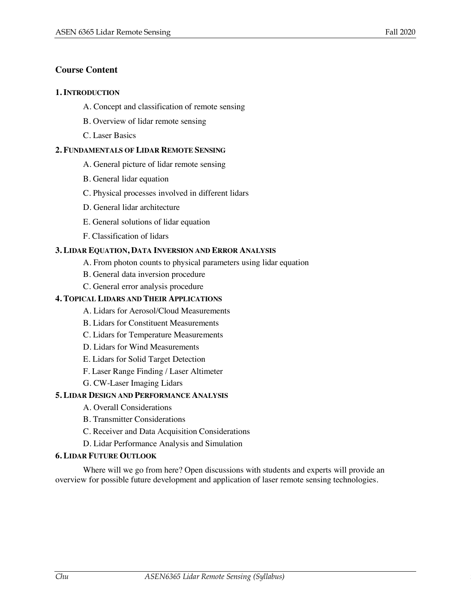#### **Course Content**

#### **1. INTRODUCTION**

- A. Concept and classification of remote sensing
- B. Overview of lidar remote sensing
- C. Laser Basics

#### **2. FUNDAMENTALS OF LIDAR REMOTE SENSING**

- A. General picture of lidar remote sensing
- B. General lidar equation
- C. Physical processes involved in different lidars
- D. General lidar architecture
- E. General solutions of lidar equation
- F. Classification of lidars

#### **3. LIDAR EQUATION, DATA INVERSION AND ERROR ANALYSIS**

- A. From photon counts to physical parameters using lidar equation
- B. General data inversion procedure
- C. General error analysis procedure

#### **4. TOPICAL LIDARS AND THEIR APPLICATIONS**

- A. Lidars for Aerosol/Cloud Measurements
- B. Lidars for Constituent Measurements
- C. Lidars for Temperature Measurements
- D. Lidars for Wind Measurements
- E. Lidars for Solid Target Detection
- F. Laser Range Finding / Laser Altimeter
- G. CW-Laser Imaging Lidars

#### **5. LIDAR DESIGN AND PERFORMANCE ANALYSIS**

- A. Overall Considerations
- B. Transmitter Considerations
- C. Receiver and Data Acquisition Considerations
- D. Lidar Performance Analysis and Simulation

#### **6. LIDAR FUTURE OUTLOOK**

Where will we go from here? Open discussions with students and experts will provide an overview for possible future development and application of laser remote sensing technologies.